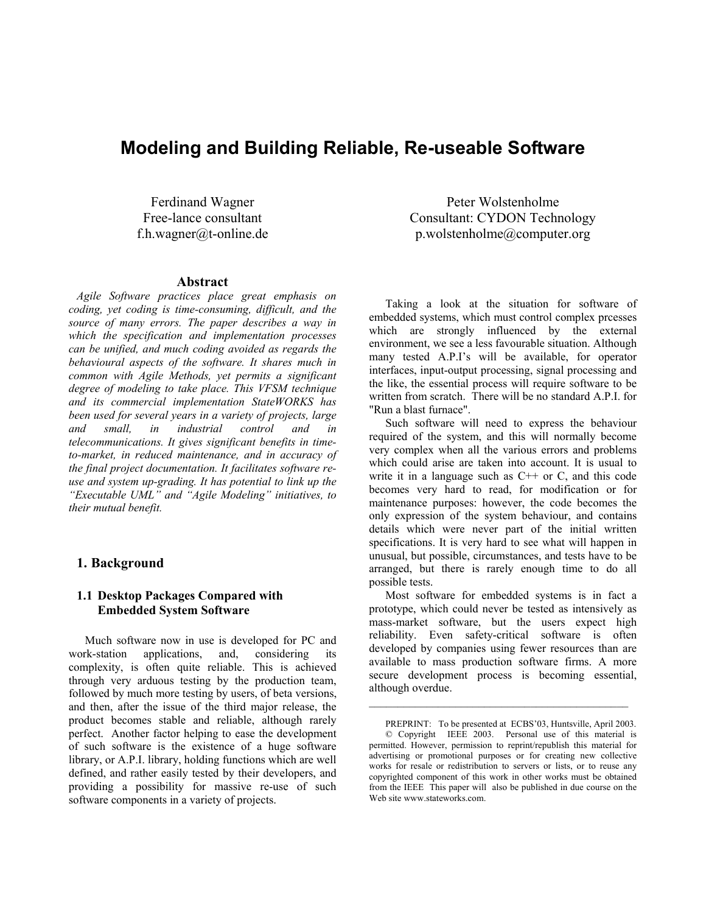# **Modeling and Building Reliable, Re-useable Software**

Ferdinand Wagner Free-lance consultant f.h.wagner@t-online.de

### **Abstract**

*Agile Software practices place great emphasis on coding, yet coding is time-consuming, difficult, and the source of many errors. The paper describes a way in which the specification and implementation processes can be unified, and much coding avoided as regards the behavioural aspects of the software. It shares much in common with Agile Methods, yet permits a significant degree of modeling to take place. This VFSM technique and its commercial implementation StateWORKS has been used for several years in a variety of projects, large and small, in industrial control and in telecommunications. It gives significant benefits in timeto-market, in reduced maintenance, and in accuracy of the final project documentation. It facilitates software reuse and system up-grading. It has potential to link up the "Executable UML" and "Agile Modeling" initiatives, to their mutual benefit.* 

# **1. Background**

### **1.1 Desktop Packages Compared with Embedded System Software**

Much software now in use is developed for PC and work-station applications, and, considering its complexity, is often quite reliable. This is achieved through very arduous testing by the production team, followed by much more testing by users, of beta versions, and then, after the issue of the third major release, the product becomes stable and reliable, although rarely perfect. Another factor helping to ease the development of such software is the existence of a huge software library, or A.P.I. library, holding functions which are well defined, and rather easily tested by their developers, and providing a possibility for massive re-use of such software components in a variety of projects.

Peter Wolstenholme Consultant: CYDON Technology p.wolstenholme@computer.org

Taking a look at the situation for software of embedded systems, which must control complex prcesses which are strongly influenced by the external environment, we see a less favourable situation. Although many tested A.P.I's will be available, for operator interfaces, input-output processing, signal processing and the like, the essential process will require software to be written from scratch. There will be no standard A.P.I. for "Run a blast furnace".

Such software will need to express the behaviour required of the system, and this will normally become very complex when all the various errors and problems which could arise are taken into account. It is usual to write it in a language such as  $C++$  or  $C$ , and this code becomes very hard to read, for modification or for maintenance purposes: however, the code becomes the only expression of the system behaviour, and contains details which were never part of the initial written specifications. It is very hard to see what will happen in unusual, but possible, circumstances, and tests have to be arranged, but there is rarely enough time to do all possible tests.

Most software for embedded systems is in fact a prototype, which could never be tested as intensively as mass-market software, but the users expect high reliability. Even safety-critical software is often developed by companies using fewer resources than are available to mass production software firms. A more secure development process is becoming essential, although overdue.

PREPRINT: To be presented at ECBS'03, Huntsville, April 2003. © Copyright IEEE 2003. Personal use of this material is permitted. However, permission to reprint/republish this material for advertising or promotional purposes or for creating new collective works for resale or redistribution to servers or lists, or to reuse any copyrighted component of this work in other works must be obtained from the IEEE This paper will also be published in due course on the Web site www.stateworks.com.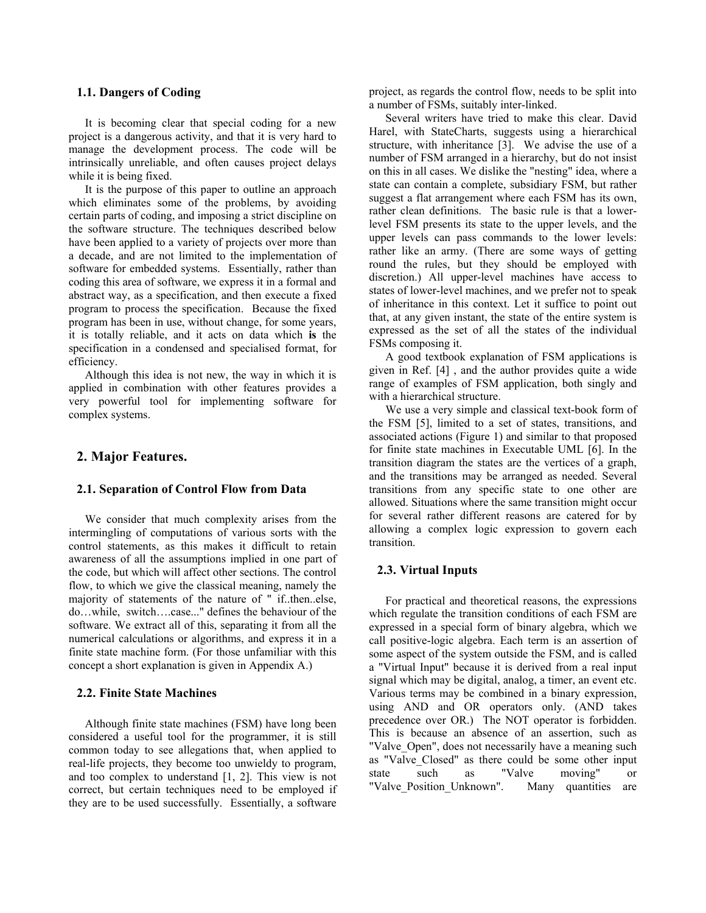### **1.1. Dangers of Coding**

It is becoming clear that special coding for a new project is a dangerous activity, and that it is very hard to manage the development process. The code will be intrinsically unreliable, and often causes project delays while it is being fixed.

It is the purpose of this paper to outline an approach which eliminates some of the problems, by avoiding certain parts of coding, and imposing a strict discipline on the software structure. The techniques described below have been applied to a variety of projects over more than a decade, and are not limited to the implementation of software for embedded systems. Essentially, rather than coding this area of software, we express it in a formal and abstract way, as a specification, and then execute a fixed program to process the specification. Because the fixed program has been in use, without change, for some years, it is totally reliable, and it acts on data which **is** the specification in a condensed and specialised format, for efficiency.

Although this idea is not new, the way in which it is applied in combination with other features provides a very powerful tool for implementing software for complex systems.

#### **2. Major Features.**

#### **2.1. Separation of Control Flow from Data**

We consider that much complexity arises from the intermingling of computations of various sorts with the control statements, as this makes it difficult to retain awareness of all the assumptions implied in one part of the code, but which will affect other sections. The control flow, to which we give the classical meaning, namely the majority of statements of the nature of " if..then..else, do…while, switch….case..." defines the behaviour of the software. We extract all of this, separating it from all the numerical calculations or algorithms, and express it in a finite state machine form. (For those unfamiliar with this concept a short explanation is given in Appendix A.)

#### **2.2. Finite State Machines**

Although finite state machines (FSM) have long been considered a useful tool for the programmer, it is still common today to see allegations that, when applied to real-life projects, they become too unwieldy to program, and too complex to understand [1, 2]. This view is not correct, but certain techniques need to be employed if they are to be used successfully. Essentially, a software

project, as regards the control flow, needs to be split into a number of FSMs, suitably inter-linked.

Several writers have tried to make this clear. David Harel, with StateCharts, suggests using a hierarchical structure, with inheritance [3]. We advise the use of a number of FSM arranged in a hierarchy, but do not insist on this in all cases. We dislike the "nesting" idea, where a state can contain a complete, subsidiary FSM, but rather suggest a flat arrangement where each FSM has its own, rather clean definitions. The basic rule is that a lowerlevel FSM presents its state to the upper levels, and the upper levels can pass commands to the lower levels: rather like an army. (There are some ways of getting round the rules, but they should be employed with discretion.) All upper-level machines have access to states of lower-level machines, and we prefer not to speak of inheritance in this context. Let it suffice to point out that, at any given instant, the state of the entire system is expressed as the set of all the states of the individual FSMs composing it.

A good textbook explanation of FSM applications is given in Ref. [4] , and the author provides quite a wide range of examples of FSM application, both singly and with a hierarchical structure.

We use a very simple and classical text-book form of the FSM [5], limited to a set of states, transitions, and associated actions (Figure 1) and similar to that proposed for finite state machines in Executable UML [6]. In the transition diagram the states are the vertices of a graph, and the transitions may be arranged as needed. Several transitions from any specific state to one other are allowed. Situations where the same transition might occur for several rather different reasons are catered for by allowing a complex logic expression to govern each transition.

### **2.3. Virtual Inputs**

For practical and theoretical reasons, the expressions which regulate the transition conditions of each FSM are expressed in a special form of binary algebra, which we call positive-logic algebra. Each term is an assertion of some aspect of the system outside the FSM, and is called a "Virtual Input" because it is derived from a real input signal which may be digital, analog, a timer, an event etc. Various terms may be combined in a binary expression, using AND and OR operators only. (AND takes precedence over OR.) The NOT operator is forbidden. This is because an absence of an assertion, such as "Valve Open", does not necessarily have a meaning such as "Valve Closed" as there could be some other input state such as "Valve moving" or "Valve Position Unknown". Many quantities are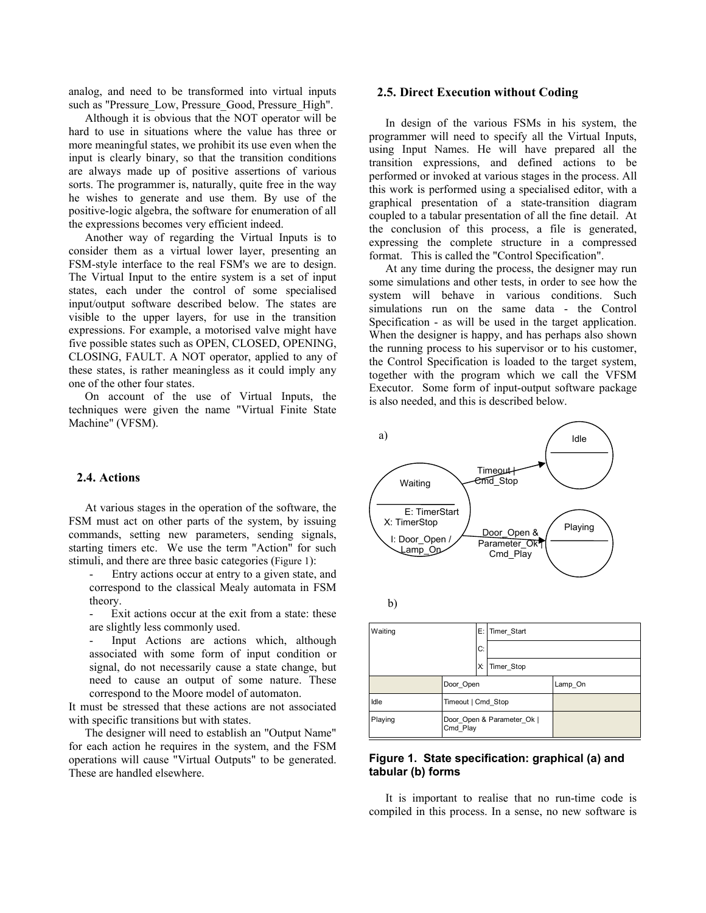analog, and need to be transformed into virtual inputs such as "Pressure\_Low, Pressure\_Good, Pressure\_High".

Although it is obvious that the NOT operator will be hard to use in situations where the value has three or more meaningful states, we prohibit its use even when the input is clearly binary, so that the transition conditions are always made up of positive assertions of various sorts. The programmer is, naturally, quite free in the way he wishes to generate and use them. By use of the positive-logic algebra, the software for enumeration of all the expressions becomes very efficient indeed.

Another way of regarding the Virtual Inputs is to consider them as a virtual lower layer, presenting an FSM-style interface to the real FSM's we are to design. The Virtual Input to the entire system is a set of input states, each under the control of some specialised input/output software described below. The states are visible to the upper layers, for use in the transition expressions. For example, a motorised valve might have five possible states such as OPEN, CLOSED, OPENING, CLOSING, FAULT. A NOT operator, applied to any of these states, is rather meaningless as it could imply any one of the other four states.

On account of the use of Virtual Inputs, the techniques were given the name "Virtual Finite State Machine" (VFSM).

#### **2.4. Actions**

At various stages in the operation of the software, the FSM must act on other parts of the system, by issuing commands, setting new parameters, sending signals, starting timers etc. We use the term "Action" for such stimuli, and there are three basic categories (Figure 1):

- Entry actions occur at entry to a given state, and correspond to the classical Mealy automata in FSM theory.

Exit actions occur at the exit from a state: these are slightly less commonly used.

- Input Actions are actions which, although associated with some form of input condition or signal, do not necessarily cause a state change, but need to cause an output of some nature. These correspond to the Moore model of automaton.

It must be stressed that these actions are not associated with specific transitions but with states.

The designer will need to establish an "Output Name" for each action he requires in the system, and the FSM operations will cause "Virtual Outputs" to be generated. These are handled elsewhere.

#### **2.5. Direct Execution without Coding**

In design of the various FSMs in his system, the programmer will need to specify all the Virtual Inputs, using Input Names. He will have prepared all the transition expressions, and defined actions to be performed or invoked at various stages in the process. All this work is performed using a specialised editor, with a graphical presentation of a state-transition diagram coupled to a tabular presentation of all the fine detail. At the conclusion of this process, a file is generated, expressing the complete structure in a compressed format. This is called the "Control Specification".

At any time during the process, the designer may run some simulations and other tests, in order to see how the system will behave in various conditions. Such simulations run on the same data - the Control Specification - as will be used in the target application. When the designer is happy, and has perhaps also shown the running process to his supervisor or to his customer, the Control Specification is loaded to the target system, together with the program which we call the VFSM Executor. Some form of input-output software package is also needed, and this is described below.





#### **Figure 1. State specification: graphical (a) and tabular (b) forms**

It is important to realise that no run-time code is compiled in this process. In a sense, no new software is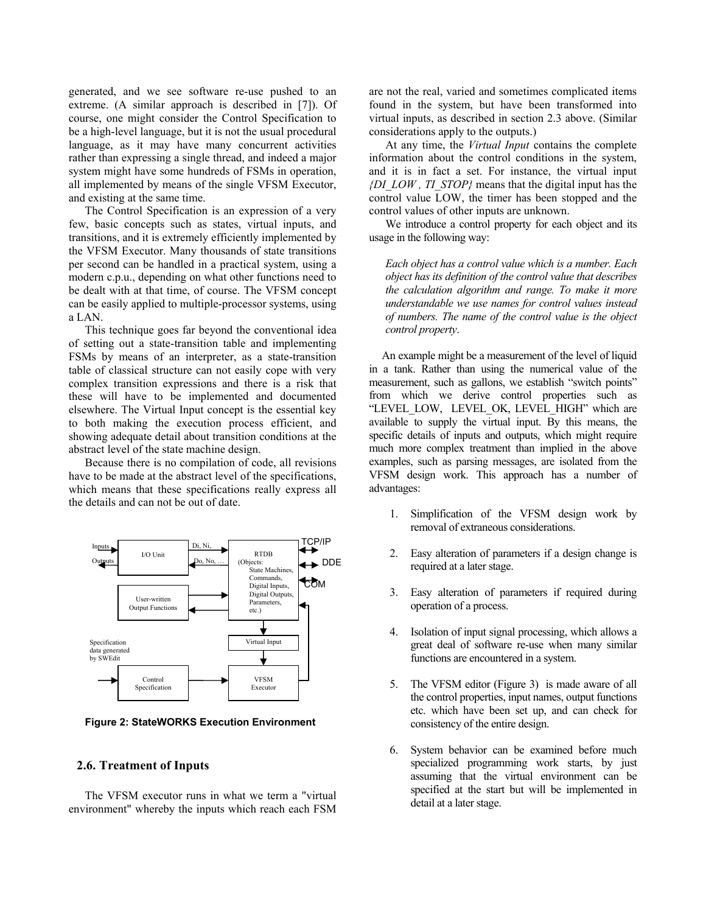generated, and we see software re-use pushed to an extreme. (A similar approach is described in [7]). Of course, one might consider the Control Specification to be a high-level language, but it is not the usual procedural language, as it may have many concurrent activities rather than expressing a single thread, and indeed a major system might have some hundreds of FSMs in operation, all implemented by means of the single VFSM Executor, and existing at the same time.

The Control Specification is an expression of a very few, basic concepts such as states, virtual inputs, and transitions, and it is extremely efficiently implemented by the VFSM Executor. Many thousands of state transitions per second can be handled in a practical system, using a modern c.p.u., depending on what other functions need to be dealt with at that time, of course. The VFSM concept can be easily applied to multiple-processor systems, using a LAN.

This technique goes far beyond the conventional idea of setting out a state-transition table and implementing FSMs by means of an interpreter, as a state-transition table of classical structure can not easily cope with very complex transition expressions and there is a risk that these will have to be implemented and documented elsewhere. The Virtual Input concept is the essential key to both making the execution process efficient, and showing adequate detail about transition conditions at the abstract level of the state machine design.

Because there is no compilation of code, all revisions have to be made at the abstract level of the specifications, which means that these specifications really express all the details and can not be out of date.



**Figure 2: StateWORKS Execution Environment** 

#### **2.6. Treatment of Inputs**

The VFSM executor runs in what we term a "virtual environment" whereby the inputs which reach each FSM are not the real, varied and sometimes complicated items found in the system, but have been transformed into virtual inputs, as described in section 2.3 above. (Similar considerations apply to the outputs.)

At any time, the *Virtual Input* contains the complete information about the control conditions in the system, and it is in fact a set. For instance, the virtual input *{DI\_LOW , TI\_STOP}* means that the digital input has the control value LOW, the timer has been stopped and the control values of other inputs are unknown.

We introduce a control property for each object and its usage in the following way:

*Each object has a control value which is a number. Each object has its definition of the control value that describes the calculation algorithm and range. To make it more understandable we use names for control values instead of numbers. The name of the control value is the object control property*.

 An example might be a measurement of the level of liquid in a tank. Rather than using the numerical value of the measurement, such as gallons, we establish "switch points" from which we derive control properties such as "LEVEL LOW, LEVEL OK, LEVEL HIGH" which are available to supply the virtual input. By this means, the specific details of inputs and outputs, which might require much more complex treatment than implied in the above examples, such as parsing messages, are isolated from the VFSM design work. This approach has a number of advantages:

- 1. Simplification of the VFSM design work by removal of extraneous considerations.
- 2. Easy alteration of parameters if a design change is required at a later stage.
- 3. Easy alteration of parameters if required during operation of a process.
- 4. Isolation of input signal processing, which allows a great deal of software re-use when many similar functions are encountered in a system.
- 5. The VFSM editor (Figure 3) is made aware of all the control properties, input names, output functions etc. which have been set up, and can check for consistency of the entire design.
- 6. System behavior can be examined before much specialized programming work starts, by just assuming that the virtual environment can be specified at the start but will be implemented in detail at a later stage.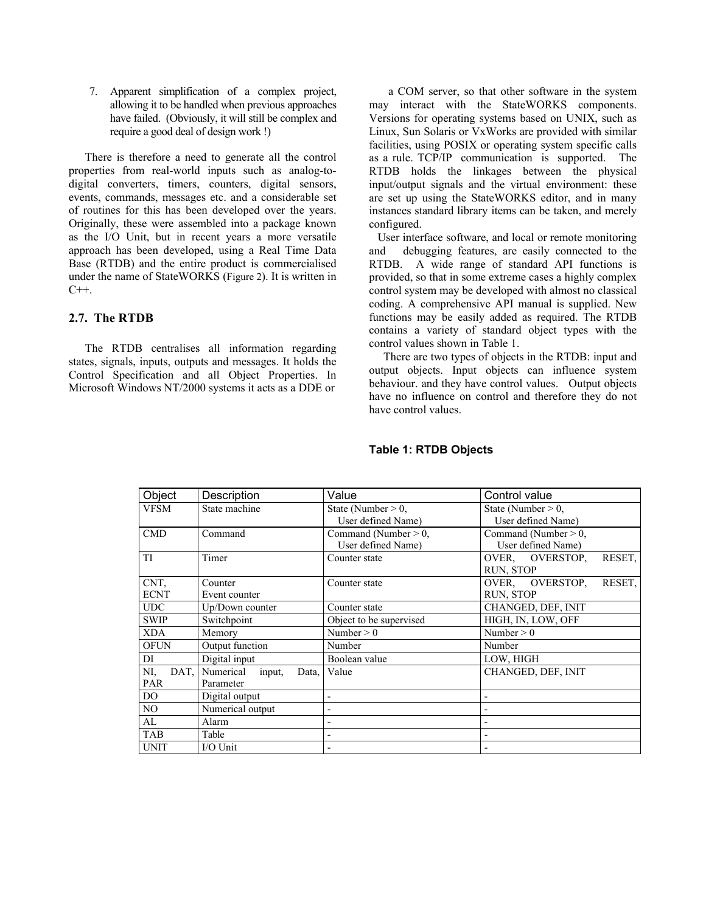7. Apparent simplification of a complex project, allowing it to be handled when previous approaches have failed. (Obviously, it will still be complex and require a good deal of design work !)

There is therefore a need to generate all the control properties from real-world inputs such as analog-todigital converters, timers, counters, digital sensors, events, commands, messages etc. and a considerable set of routines for this has been developed over the years. Originally, these were assembled into a package known as the I/O Unit, but in recent years a more versatile approach has been developed, using a Real Time Data Base (RTDB) and the entire product is commercialised under the name of StateWORKS (Figure 2). It is written in  $C++$ 

# **2.7. The RTDB**

The RTDB centralises all information regarding states, signals, inputs, outputs and messages. It holds the Control Specification and all Object Properties. In Microsoft Windows NT/2000 systems it acts as a DDE or

 a COM server, so that other software in the system may interact with the StateWORKS components. Versions for operating systems based on UNIX, such as Linux, Sun Solaris or VxWorks are provided with similar facilities, using POSIX or operating system specific calls as a rule. TCP/IP communication is supported. The RTDB holds the linkages between the physical input/output signals and the virtual environment: these are set up using the StateWORKS editor, and in many instances standard library items can be taken, and merely configured.

 User interface software, and local or remote monitoring and debugging features, are easily connected to the RTDB. A wide range of standard API functions is provided, so that in some extreme cases a highly complex control system may be developed with almost no classical coding. A comprehensive API manual is supplied. New functions may be easily added as required. The RTDB contains a variety of standard object types with the control values shown in Table 1.

 There are two types of objects in the RTDB: input and output objects. Input objects can influence system behaviour. and they have control values. Output objects have no influence on control and therefore they do not have control values.

| Object         | Description                  | Value                   | Control value             |
|----------------|------------------------------|-------------------------|---------------------------|
| <b>VFSM</b>    | State machine                | State (Number $> 0$ ,   | State (Number $> 0$ ,     |
|                |                              | User defined Name)      | User defined Name)        |
| <b>CMD</b>     | Command                      | Command (Number $> 0$ , | Command (Number $> 0$ ,   |
|                |                              | User defined Name)      | User defined Name)        |
| <b>TI</b>      | Timer                        | Counter state           | OVER, OVERSTOP,<br>RESET. |
|                |                              |                         | RUN, STOP                 |
| CNT,           | Counter                      | Counter state           | RESET.<br>OVER, OVERSTOP, |
| <b>ECNT</b>    | Event counter                |                         | RUN, STOP                 |
| <b>UDC</b>     | Up/Down counter              | Counter state           | CHANGED, DEF, INIT        |
| <b>SWIP</b>    | Switchpoint                  | Object to be supervised | HIGH, IN, LOW, OFF        |
| <b>XDA</b>     | Memory                       | Number $> 0$            | Number $> 0$              |
| <b>OFUN</b>    | Output function              | Number                  | Number                    |
| DI             | Digital input                | Boolean value           | LOW, HIGH                 |
| NI,<br>DAT.    | Numerical<br>input.<br>Data, | Value                   | CHANGED, DEF, INIT        |
| <b>PAR</b>     | Parameter                    |                         |                           |
| DO.            | Digital output               |                         |                           |
| N <sub>O</sub> | Numerical output             | -                       |                           |
| AL             | Alarm                        | -                       |                           |
| <b>TAB</b>     | Table                        |                         |                           |
| <b>UNIT</b>    | I/O Unit                     |                         |                           |

#### **Table 1: RTDB Objects**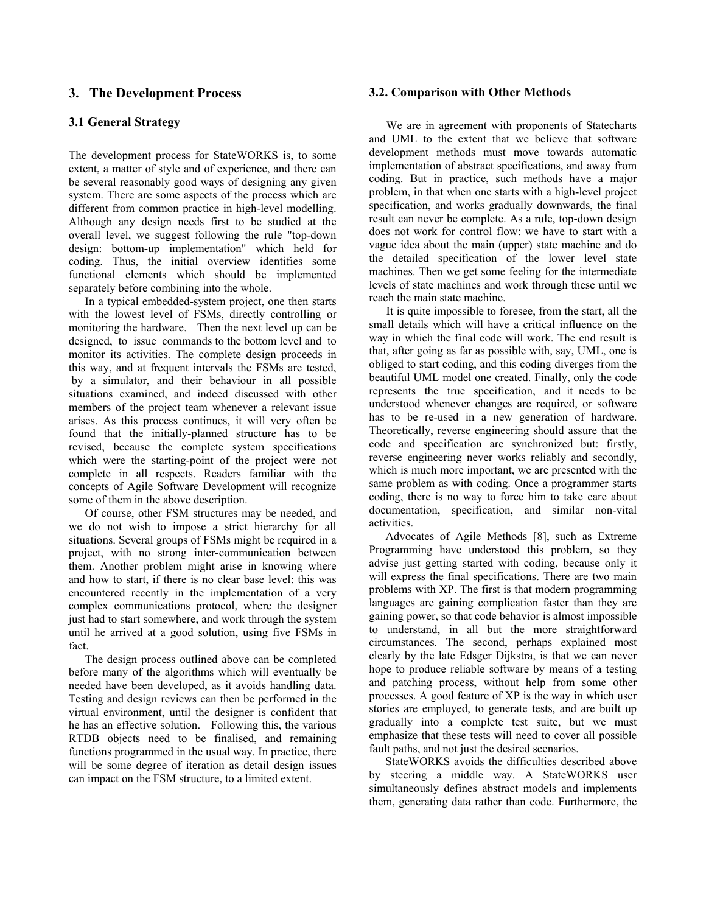# **3. The Development Process**

### **3.1 General Strategy**

The development process for StateWORKS is, to some extent, a matter of style and of experience, and there can be several reasonably good ways of designing any given system. There are some aspects of the process which are different from common practice in high-level modelling. Although any design needs first to be studied at the overall level, we suggest following the rule "top-down design: bottom-up implementation" which held for coding. Thus, the initial overview identifies some functional elements which should be implemented separately before combining into the whole.

In a typical embedded-system project, one then starts with the lowest level of FSMs, directly controlling or monitoring the hardware. Then the next level up can be designed, to issue commands to the bottom level and to monitor its activities. The complete design proceeds in this way, and at frequent intervals the FSMs are tested, by a simulator, and their behaviour in all possible situations examined, and indeed discussed with other members of the project team whenever a relevant issue arises. As this process continues, it will very often be found that the initially-planned structure has to be revised, because the complete system specifications which were the starting-point of the project were not complete in all respects. Readers familiar with the concepts of Agile Software Development will recognize some of them in the above description.

Of course, other FSM structures may be needed, and we do not wish to impose a strict hierarchy for all situations. Several groups of FSMs might be required in a project, with no strong inter-communication between them. Another problem might arise in knowing where and how to start, if there is no clear base level: this was encountered recently in the implementation of a very complex communications protocol, where the designer just had to start somewhere, and work through the system until he arrived at a good solution, using five FSMs in fact.

The design process outlined above can be completed before many of the algorithms which will eventually be needed have been developed, as it avoids handling data. Testing and design reviews can then be performed in the virtual environment, until the designer is confident that he has an effective solution. Following this, the various RTDB objects need to be finalised, and remaining functions programmed in the usual way. In practice, there will be some degree of iteration as detail design issues can impact on the FSM structure, to a limited extent.

#### **3.2. Comparison with Other Methods**

 We are in agreement with proponents of Statecharts and UML to the extent that we believe that software development methods must move towards automatic implementation of abstract specifications, and away from coding. But in practice, such methods have a major problem, in that when one starts with a high-level project specification, and works gradually downwards, the final result can never be complete. As a rule, top-down design does not work for control flow: we have to start with a vague idea about the main (upper) state machine and do the detailed specification of the lower level state machines. Then we get some feeling for the intermediate levels of state machines and work through these until we reach the main state machine.

 It is quite impossible to foresee, from the start, all the small details which will have a critical influence on the way in which the final code will work. The end result is that, after going as far as possible with, say, UML, one is obliged to start coding, and this coding diverges from the beautiful UML model one created. Finally, only the code represents the true specification, and it needs to be understood whenever changes are required, or software has to be re-used in a new generation of hardware. Theoretically, reverse engineering should assure that the code and specification are synchronized but: firstly, reverse engineering never works reliably and secondly, which is much more important, we are presented with the same problem as with coding. Once a programmer starts coding, there is no way to force him to take care about documentation, specification, and similar non-vital activities.

Advocates of Agile Methods [8], such as Extreme Programming have understood this problem, so they advise just getting started with coding, because only it will express the final specifications. There are two main problems with XP. The first is that modern programming languages are gaining complication faster than they are gaining power, so that code behavior is almost impossible to understand, in all but the more straightforward circumstances. The second, perhaps explained most clearly by the late Edsger Dijkstra, is that we can never hope to produce reliable software by means of a testing and patching process, without help from some other processes. A good feature of XP is the way in which user stories are employed, to generate tests, and are built up gradually into a complete test suite, but we must emphasize that these tests will need to cover all possible fault paths, and not just the desired scenarios.

StateWORKS avoids the difficulties described above by steering a middle way. A StateWORKS user simultaneously defines abstract models and implements them, generating data rather than code. Furthermore, the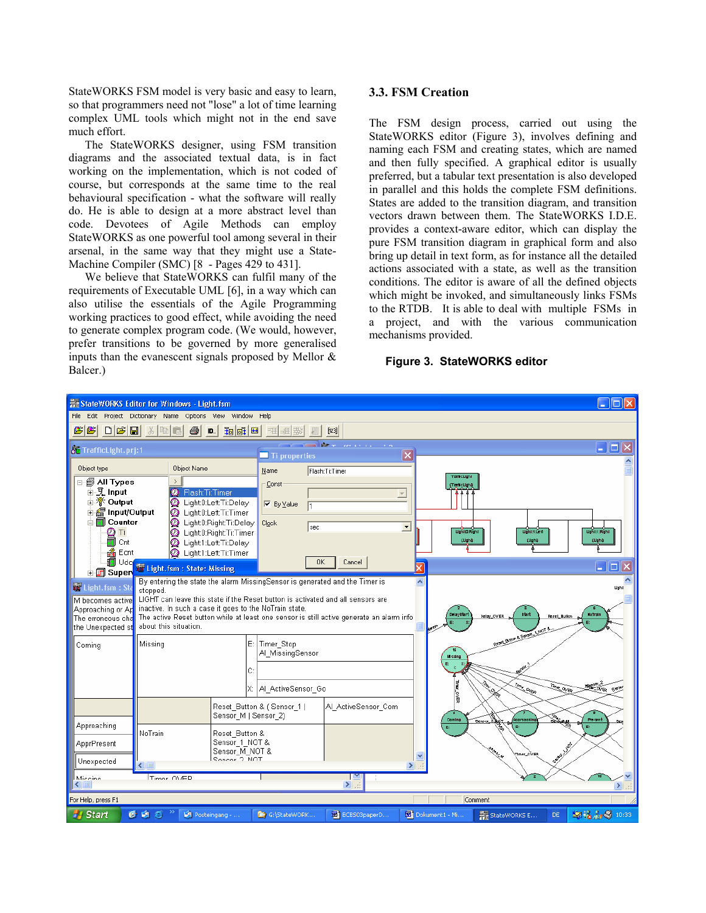StateWORKS FSM model is very basic and easy to learn, so that programmers need not "lose" a lot of time learning complex UML tools which might not in the end save much effort.

The StateWORKS designer, using FSM transition diagrams and the associated textual data, is in fact working on the implementation, which is not coded of course, but corresponds at the same time to the real behavioural specification - what the software will really do. He is able to design at a more abstract level than code. Devotees of Agile Methods can employ StateWORKS as one powerful tool among several in their arsenal, in the same way that they might use a State-Machine Compiler (SMC) [8 - Pages 429 to 431].

We believe that StateWORKS can fulfil many of the requirements of Executable UML [6], in a way which can also utilise the essentials of the Agile Programming working practices to good effect, while avoiding the need to generate complex program code. (We would, however, prefer transitions to be governed by more generalised inputs than the evanescent signals proposed by Mellor & Balcer.)

#### **3.3. FSM Creation**

The FSM design process, carried out using the StateWORKS editor (Figure 3), involves defining and naming each FSM and creating states, which are named and then fully specified. A graphical editor is usually preferred, but a tabular text presentation is also developed in parallel and this holds the complete FSM definitions. States are added to the transition diagram, and transition vectors drawn between them. The StateWORKS I.D.E. provides a context-aware editor, which can display the pure FSM transition diagram in graphical form and also bring up detail in text form, as for instance all the detailed actions associated with a state, as well as the transition conditions. The editor is aware of all the defined objects which might be invoked, and simultaneously links FSMs to the RTDB. It is able to deal with multiple FSMs in a project, and with the various communication mechanisms provided.

#### **Figure 3. StateWORKS editor**

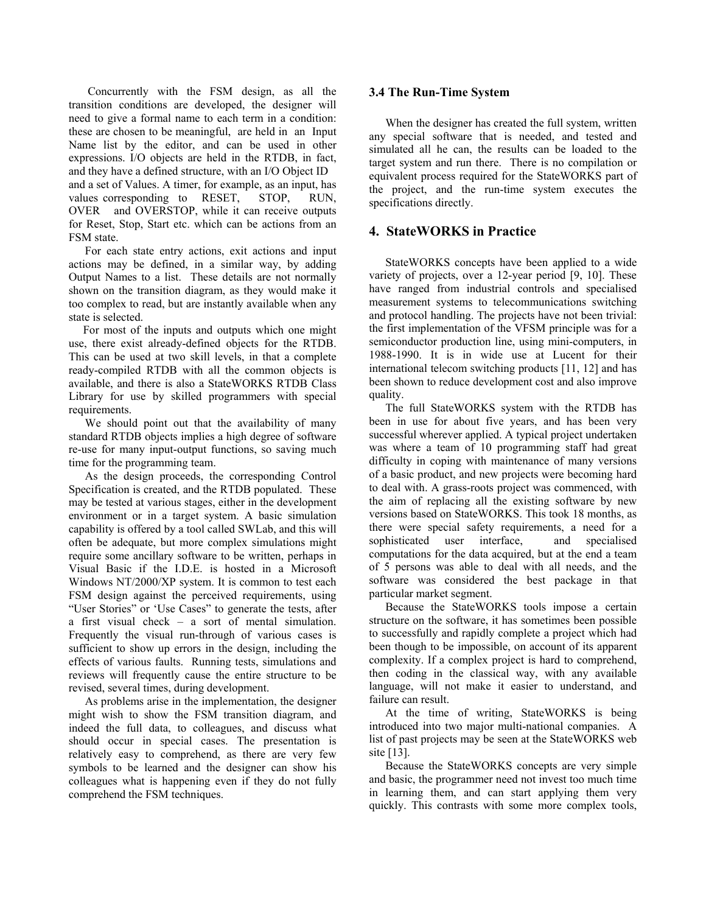Concurrently with the FSM design, as all the transition conditions are developed, the designer will need to give a formal name to each term in a condition: these are chosen to be meaningful, are held in an Input Name list by the editor, and can be used in other expressions. I/O objects are held in the RTDB, in fact, and they have a defined structure, with an I/O Object ID and a set of Values. A timer, for example, as an input, has values corresponding to RESET, STOP, RUN, OVER and OVERSTOP, while it can receive outputs for Reset, Stop, Start etc. which can be actions from an FSM state.

For each state entry actions, exit actions and input actions may be defined, in a similar way, by adding Output Names to a list. These details are not normally shown on the transition diagram, as they would make it too complex to read, but are instantly available when any state is selected.

 For most of the inputs and outputs which one might use, there exist already-defined objects for the RTDB. This can be used at two skill levels, in that a complete ready-compiled RTDB with all the common objects is available, and there is also a StateWORKS RTDB Class Library for use by skilled programmers with special requirements.

We should point out that the availability of many standard RTDB objects implies a high degree of software re-use for many input-output functions, so saving much time for the programming team.

As the design proceeds, the corresponding Control Specification is created, and the RTDB populated. These may be tested at various stages, either in the development environment or in a target system. A basic simulation capability is offered by a tool called SWLab, and this will often be adequate, but more complex simulations might require some ancillary software to be written, perhaps in Visual Basic if the I.D.E. is hosted in a Microsoft Windows NT/2000/XP system. It is common to test each FSM design against the perceived requirements, using "User Stories" or 'Use Cases" to generate the tests, after a first visual check – a sort of mental simulation. Frequently the visual run-through of various cases is sufficient to show up errors in the design, including the effects of various faults. Running tests, simulations and reviews will frequently cause the entire structure to be revised, several times, during development.

As problems arise in the implementation, the designer might wish to show the FSM transition diagram, and indeed the full data, to colleagues, and discuss what should occur in special cases. The presentation is relatively easy to comprehend, as there are very few symbols to be learned and the designer can show his colleagues what is happening even if they do not fully comprehend the FSM techniques.

#### **3.4 The Run-Time System**

When the designer has created the full system, written any special software that is needed, and tested and simulated all he can, the results can be loaded to the target system and run there. There is no compilation or equivalent process required for the StateWORKS part of the project, and the run-time system executes the specifications directly.

#### **4. StateWORKS in Practice**

StateWORKS concepts have been applied to a wide variety of projects, over a 12-year period [9, 10]. These have ranged from industrial controls and specialised measurement systems to telecommunications switching and protocol handling. The projects have not been trivial: the first implementation of the VFSM principle was for a semiconductor production line, using mini-computers, in 1988-1990. It is in wide use at Lucent for their international telecom switching products [11, 12] and has been shown to reduce development cost and also improve quality.

The full StateWORKS system with the RTDB has been in use for about five years, and has been very successful wherever applied. A typical project undertaken was where a team of 10 programming staff had great difficulty in coping with maintenance of many versions of a basic product, and new projects were becoming hard to deal with. A grass-roots project was commenced, with the aim of replacing all the existing software by new versions based on StateWORKS. This took 18 months, as there were special safety requirements, a need for a sophisticated user interface, and specialised computations for the data acquired, but at the end a team of 5 persons was able to deal with all needs, and the software was considered the best package in that particular market segment.

Because the StateWORKS tools impose a certain structure on the software, it has sometimes been possible to successfully and rapidly complete a project which had been though to be impossible, on account of its apparent complexity. If a complex project is hard to comprehend, then coding in the classical way, with any available language, will not make it easier to understand, and failure can result.

At the time of writing, StateWORKS is being introduced into two major multi-national companies. A list of past projects may be seen at the StateWORKS web site [13].

Because the StateWORKS concepts are very simple and basic, the programmer need not invest too much time in learning them, and can start applying them very quickly. This contrasts with some more complex tools,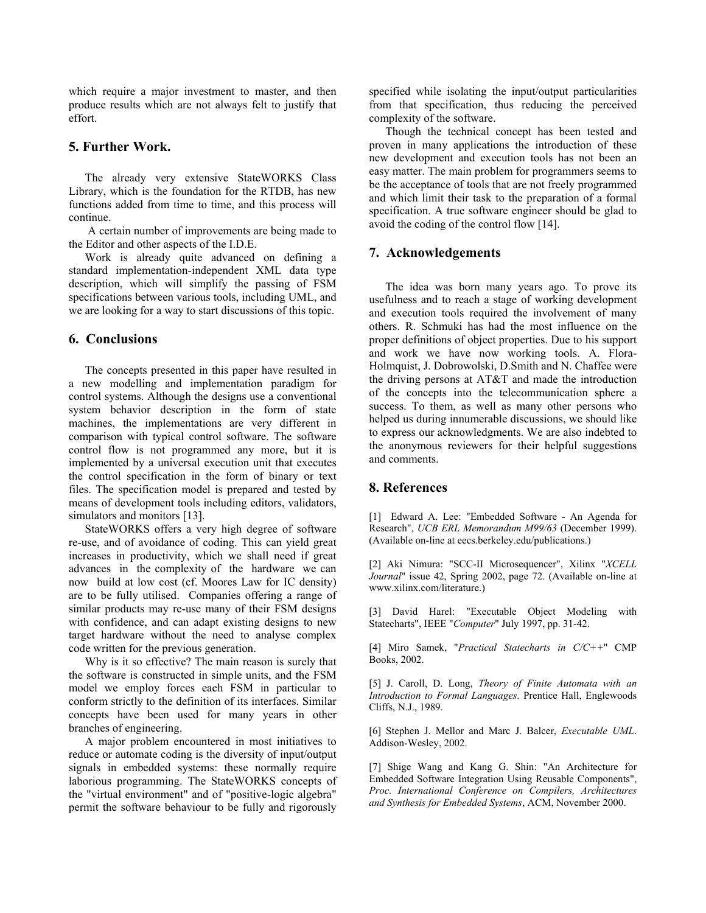which require a major investment to master, and then produce results which are not always felt to justify that effort.

### **5. Further Work.**

The already very extensive StateWORKS Class Library, which is the foundation for the RTDB, has new functions added from time to time, and this process will continue.

 A certain number of improvements are being made to the Editor and other aspects of the I.D.E.

Work is already quite advanced on defining a standard implementation-independent XML data type description, which will simplify the passing of FSM specifications between various tools, including UML, and we are looking for a way to start discussions of this topic.

### **6. Conclusions**

The concepts presented in this paper have resulted in a new modelling and implementation paradigm for control systems. Although the designs use a conventional system behavior description in the form of state machines, the implementations are very different in comparison with typical control software. The software control flow is not programmed any more, but it is implemented by a universal execution unit that executes the control specification in the form of binary or text files. The specification model is prepared and tested by means of development tools including editors, validators, simulators and monitors [13].

StateWORKS offers a very high degree of software re-use, and of avoidance of coding. This can yield great increases in productivity, which we shall need if great advances in the complexity of the hardware we can now build at low cost (cf. Moores Law for IC density) are to be fully utilised. Companies offering a range of similar products may re-use many of their FSM designs with confidence, and can adapt existing designs to new target hardware without the need to analyse complex code written for the previous generation.

Why is it so effective? The main reason is surely that the software is constructed in simple units, and the FSM model we employ forces each FSM in particular to conform strictly to the definition of its interfaces. Similar concepts have been used for many years in other branches of engineering.

A major problem encountered in most initiatives to reduce or automate coding is the diversity of input/output signals in embedded systems: these normally require laborious programming. The StateWORKS concepts of the "virtual environment" and of "positive-logic algebra" permit the software behaviour to be fully and rigorously specified while isolating the input/output particularities from that specification, thus reducing the perceived complexity of the software.

Though the technical concept has been tested and proven in many applications the introduction of these new development and execution tools has not been an easy matter. The main problem for programmers seems to be the acceptance of tools that are not freely programmed and which limit their task to the preparation of a formal specification. A true software engineer should be glad to avoid the coding of the control flow [14].

### **7. Acknowledgements**

The idea was born many years ago. To prove its usefulness and to reach a stage of working development and execution tools required the involvement of many others. R. Schmuki has had the most influence on the proper definitions of object properties. Due to his support and work we have now working tools. A. Flora-Holmquist, J. Dobrowolski, D.Smith and N. Chaffee were the driving persons at AT&T and made the introduction of the concepts into the telecommunication sphere a success. To them, as well as many other persons who helped us during innumerable discussions, we should like to express our acknowledgments. We are also indebted to the anonymous reviewers for their helpful suggestions and comments.

# **8. References**

[1] Edward A. Lee: "Embedded Software - An Agenda for Research", *UCB ERL Memorandum M99/63* (December 1999). (Available on-line at eecs.berkeley.edu/publications.)

[2] Aki Nimura: "SCC-II Microsequencer", Xilinx "*XCELL Journal*" issue 42, Spring 2002, page 72. (Available on-line at www.xilinx.com/literature.)

[3] David Harel: "Executable Object Modeling with Statecharts", IEEE "*Computer*" July 1997, pp. 31-42.

[4] Miro Samek, "*Practical Statecharts in C/C++*" CMP Books, 2002.

[5] J. Caroll, D. Long, *Theory of Finite Automata with an Introduction to Formal Languages*. Prentice Hall, Englewoods Cliffs, N.J., 1989.

[6] Stephen J. Mellor and Marc J. Balcer, *Executable UML*. Addison-Wesley, 2002.

[7] Shige Wang and Kang G. Shin: "An Architecture for Embedded Software Integration Using Reusable Components", *Proc. International Conference on Compilers, Architectures and Synthesis for Embedded Systems*, ACM, November 2000.